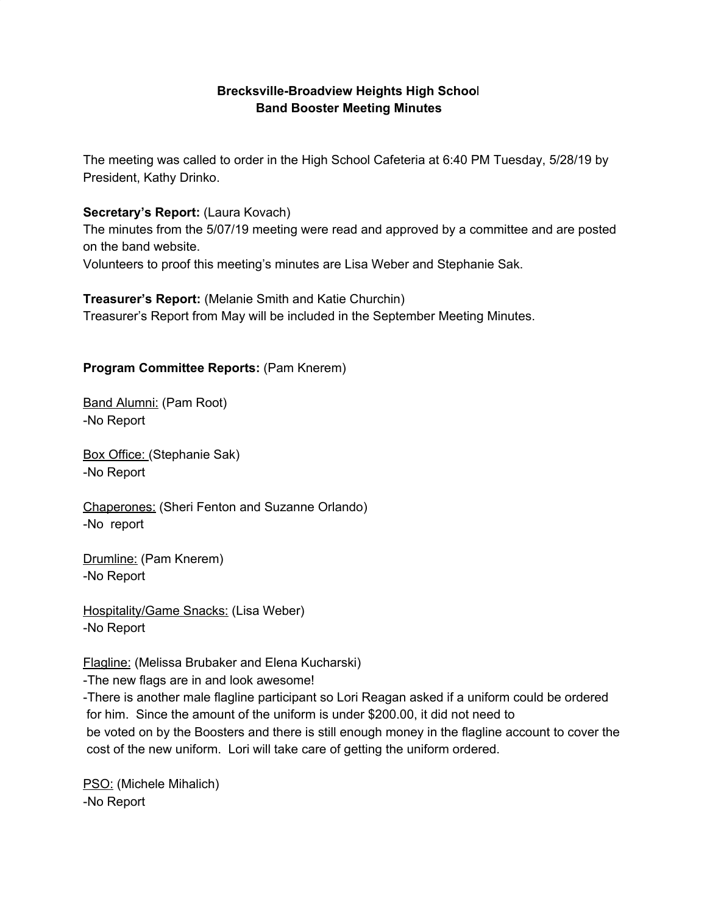### **Brecksville-Broadview Heights High Schoo**l **Band Booster Meeting Minutes**

The meeting was called to order in the High School Cafeteria at 6:40 PM Tuesday, 5/28/19 by President, Kathy Drinko.

### **Secretary's Report:** (Laura Kovach)

The minutes from the 5/07/19 meeting were read and approved by a committee and are posted on the band website.

Volunteers to proof this meeting's minutes are Lisa Weber and Stephanie Sak.

**Treasurer's Report:** (Melanie Smith and Katie Churchin) Treasurer's Report from May will be included in the September Meeting Minutes.

### **Program Committee Reports:** (Pam Knerem)

Band Alumni: (Pam Root) -No Report

Box Office: (Stephanie Sak) -No Report

Chaperones: (Sheri Fenton and Suzanne Orlando) -No report

Drumline: (Pam Knerem) -No Report

Hospitality/Game Snacks: (Lisa Weber) -No Report

Flagline: (Melissa Brubaker and Elena Kucharski)

-The new flags are in and look awesome!

-There is another male flagline participant so Lori Reagan asked if a uniform could be ordered for him. Since the amount of the uniform is under \$200.00, it did not need to be voted on by the Boosters and there is still enough money in the flagline account to cover the cost of the new uniform. Lori will take care of getting the uniform ordered.

PSO: (Michele Mihalich) -No Report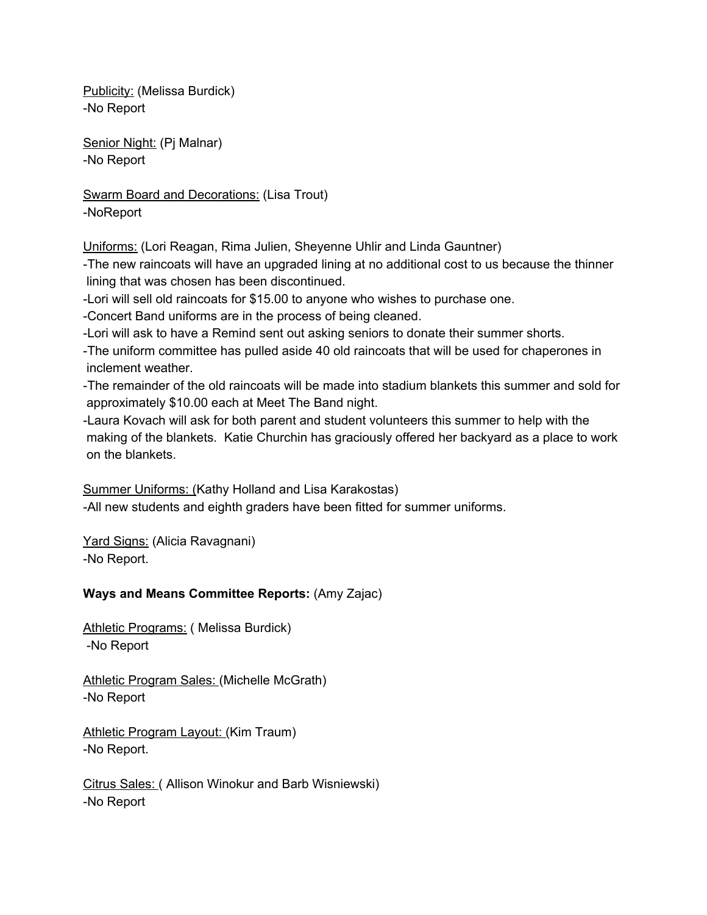Publicity: (Melissa Burdick) -No Report

Senior Night: (Pj Malnar) -No Report

Swarm Board and Decorations: (Lisa Trout) -NoReport

Uniforms: (Lori Reagan, Rima Julien, Sheyenne Uhlir and Linda Gauntner)

-The new raincoats will have an upgraded lining at no additional cost to us because the thinner lining that was chosen has been discontinued.

-Lori will sell old raincoats for \$15.00 to anyone who wishes to purchase one.

-Concert Band uniforms are in the process of being cleaned.

-Lori will ask to have a Remind sent out asking seniors to donate their summer shorts.

-The uniform committee has pulled aside 40 old raincoats that will be used for chaperones in inclement weather.

-The remainder of the old raincoats will be made into stadium blankets this summer and sold for approximately \$10.00 each at Meet The Band night.

-Laura Kovach will ask for both parent and student volunteers this summer to help with the making of the blankets. Katie Churchin has graciously offered her backyard as a place to work on the blankets.

Summer Uniforms: (Kathy Holland and Lisa Karakostas) -All new students and eighth graders have been fitted for summer uniforms.

Yard Signs: (Alicia Ravagnani) -No Report.

# **Ways and Means Committee Reports:** (Amy Zajac)

Athletic Programs: ( Melissa Burdick) -No Report

Athletic Program Sales: (Michelle McGrath) -No Report

Athletic Program Layout: (Kim Traum) -No Report.

Citrus Sales: ( Allison Winokur and Barb Wisniewski) -No Report